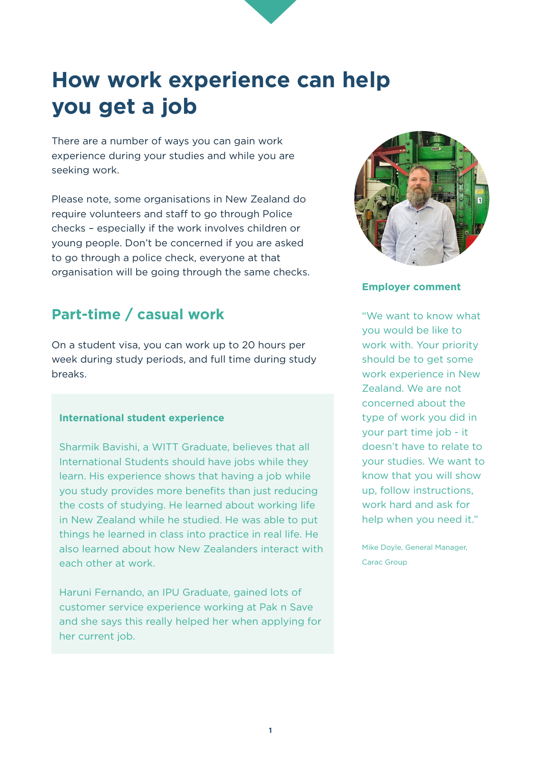# **How work experience can help you get a job**

There are a number of ways you can gain work experience during your studies and while you are seeking work.

Please note, some organisations in New Zealand do require volunteers and staff to go through Police checks – especially if the work involves children or young people. Don't be concerned if you are asked to go through a police check, everyone at that organisation will be going through the same checks.

# **Part-time / casual work**

On a student visa, you can work up to 20 hours per week during study periods, and full time during study breaks.

#### **International student experience**

Sharmik Bavishi, a WITT Graduate, believes that all International Students should have jobs while they learn. His experience shows that having a job while you study provides more benefits than just reducing the costs of studying. He learned about working life in New Zealand while he studied. He was able to put things he learned in class into practice in real life. He also learned about how New Zealanders interact with each other at work.

Haruni Fernando, an IPU Graduate, gained lots of customer service experience working at Pak n Save and she says this really helped her when applying for her current job.



#### **Employer comment**

"We want to know what you would be like to work with. Your priority should be to get some work experience in New Zealand. We are not concerned about the type of work you did in your part time job - it doesn't have to relate to your studies. We want to know that you will show up, follow instructions, work hard and ask for help when you need it."

Mike Doyle, General Manager, Carac Group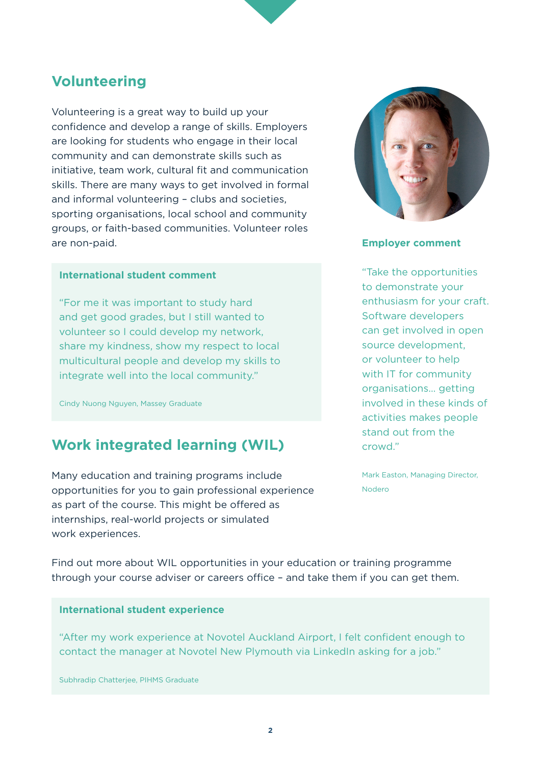### **Volunteering**

Volunteering is a great way to build up your confidence and develop a range of skills. Employers are looking for students who engage in their local community and can demonstrate skills such as initiative, team work, cultural fit and communication skills. There are many ways to get involved in formal and informal volunteering – clubs and societies, sporting organisations, local school and community groups, or faith-based communities. Volunteer roles are non-paid.

#### **International student comment**

"For me it was important to study hard and get good grades, but I still wanted to volunteer so I could develop my network, share my kindness, show my respect to local multicultural people and develop my skills to integrate well into the local community."

Cindy Nuong Nguyen, Massey Graduate

## **Work integrated learning (WIL)**

Many education and training programs include opportunities for you to gain professional experience as part of the course. This might be offered as internships, real-world projects or simulated work experiences.



#### **Employer comment**

"Take the opportunities to demonstrate your enthusiasm for your craft. Software developers can get involved in open source development, or volunteer to help with IT for community organisations… getting involved in these kinds of activities makes people stand out from the crowd."

Mark Easton, Managing Director, Nodero

Find out more about WIL opportunities in your education or training programme through your course adviser or careers office – and take them if you can get them.

#### **International student experience**

"After my work experience at Novotel Auckland Airport, I felt confident enough to contact the manager at Novotel New Plymouth via LinkedIn asking for a job."

Subhradip Chatterjee, PIHMS Graduate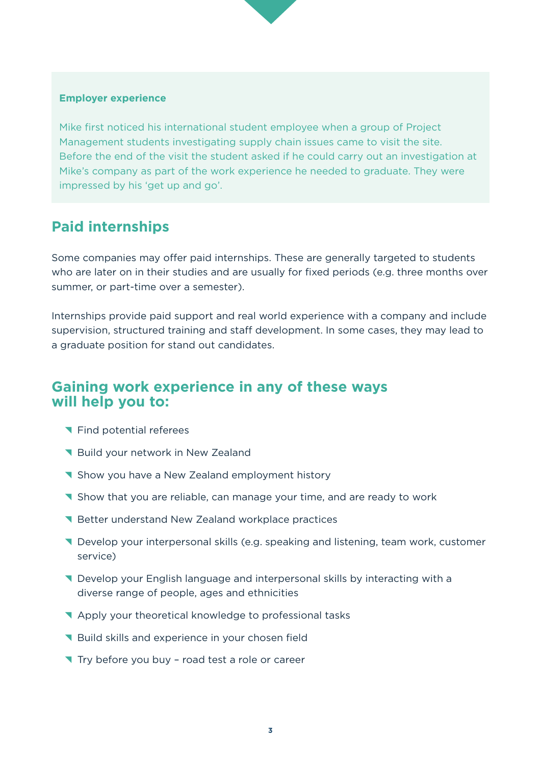#### **Employer experience**

Mike first noticed his international student employee when a group of Project Management students investigating supply chain issues came to visit the site. Before the end of the visit the student asked if he could carry out an investigation at Mike's company as part of the work experience he needed to graduate. They were impressed by his 'get up and go'.

### **Paid internships**

Some companies may offer paid internships. These are generally targeted to students who are later on in their studies and are usually for fixed periods (e.g. three months over summer, or part-time over a semester).

Internships provide paid support and real world experience with a company and include supervision, structured training and staff development. In some cases, they may lead to a graduate position for stand out candidates.

### **Gaining work experience in any of these ways will help you to:**

- **T** Find potential referees
- Build your network in New Zealand
- **T** Show you have a New Zealand employment history
- **T** Show that you are reliable, can manage your time, and are ready to work
- **N** Better understand New Zealand workplace practices
- ^ Develop your interpersonal skills (e.g. speaking and listening, team work, customer service)
- **T** Develop your English language and interpersonal skills by interacting with a diverse range of people, ages and ethnicities
- ^ Apply your theoretical knowledge to professional tasks
- **N** Build skills and experience in your chosen field
- Try before you buy road test a role or career